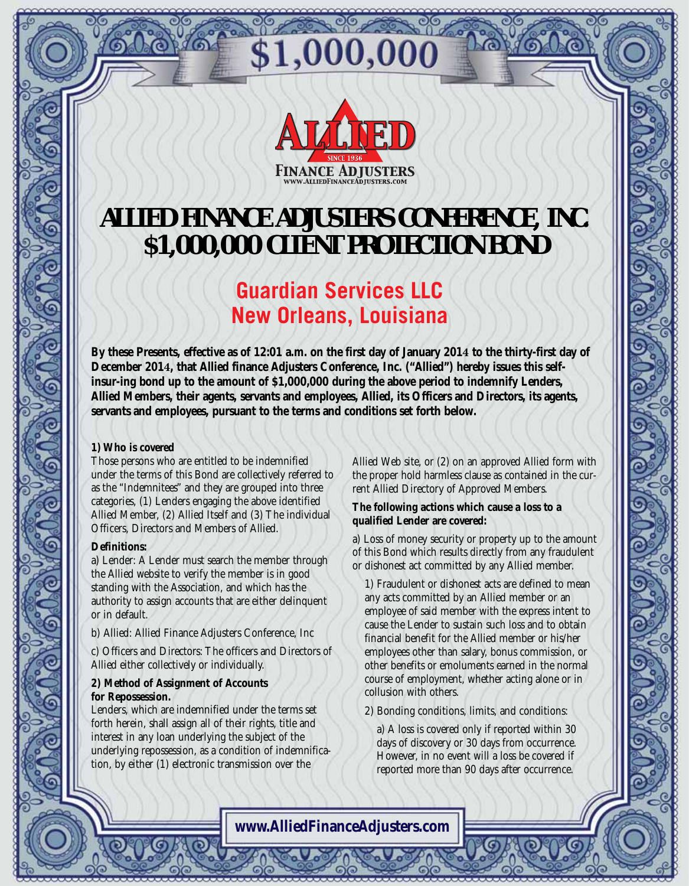

\$1,000,000

## **ALLIED FINANCE ADJUSTERS CONFERENCE, INC. \$1,000,000 CLIENT PROTECTION BOND**

### **Guardian Services LLC New Orleans, Louisiana**

**By these Presents, effective as of 12:01 a.m. on the first day of January 2014 to the thirty-first day of December 2014, that Allied finance Adjusters Conference, Inc. ("Allied") hereby issues this selfinsur-ing bond up to the amount of \$1,000,000 during the above period to indemnify Lenders, Allied Members, their agents, servants and employees, Allied, its Officers and Directors, its agents, servants and employees, pursuant to the terms and conditions set forth below.**

#### **1) Who is covered**

Those persons who are entitled to be indemnified under the terms of this Bond are collectively referred to as the "Indemnitees" and they are grouped into three categories, (1) Lenders engaging the above identified Allied Member, (2) Allied Itself and (3) The individual Officers, Directors and Members of Allied.

#### **Definitions:**

a) Lender: A Lender must search the member through the Allied website to verify the member is in good standing with the Association, and which has the authority to assign accounts that are either delinquent or in default.

b) Allied: Allied Finance Adjusters Conference, Inc

c) Officers and Directors: The officers and Directors of Allied either collectively or individually.

#### **2) Method of Assignment of Accounts for Repossession.**

Lenders, which are indemnified under the terms set forth herein, shall assign all of their rights, title and interest in any loan underlying the subject of the underlying repossession, as a condition of indemnification, by either (1) electronic transmission over the

Allied Web site, or (2) on an approved Allied form with the proper hold harmless clause as contained in the current Allied Directory of Approved Members.

#### **The following actions which cause a loss to a qualified Lender are covered:**

a) Loss of money security or property up to the amount of this Bond which results directly from any fraudulent or dishonest act committed by any Allied member.

1) Fraudulent or dishonest acts are defined to mean any acts committed by an Allied member or an employee of said member with the express intent to cause the Lender to sustain such loss and to obtain financial benefit for the Allied member or his/her employees other than salary, bonus commission, or other benefits or emoluments earned in the normal course of employment, whether acting alone or in collusion with others.

2) Bonding conditions, limits, and conditions:

a) A loss is covered only if reported within 30 days of discovery or 30 days from occurrence. However, in no event will a loss be covered if reported more than 90 days after occurrence.

**www.AlliedFinanceAdjusters.com**